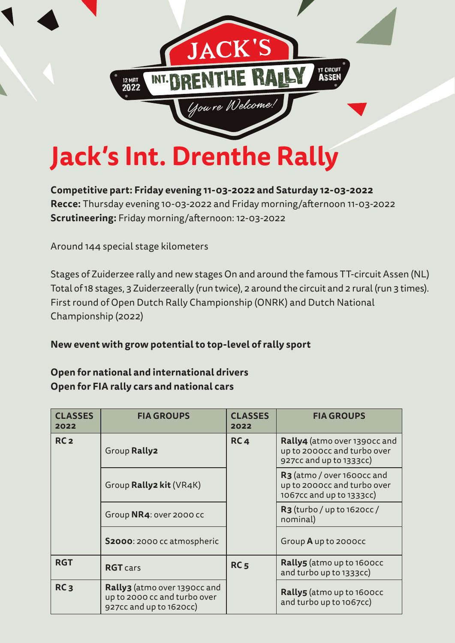

**Competitive part: Friday evening 11-03-2022 and Saturday 12-03-2022 Recce:** Thursday evening 10-03-2022 and Friday morning/afternoon 11-03-2022 **Scrutineering:** Friday morning/afternoon: 12-03-2022

Around 144 special stage kilometers

Stages of Zuiderzee rally and new stages On and around the famous TT-circuit Assen (NL) Total of 18 stages, 3 Zuiderzeerally (run twice), 2 around the circuit and 2 rural (run 3 times). First round of Open Dutch Rally Championship (ONRK) and Dutch National Championship (2022)

**New event with grow potential to top-level of rally sport**

### **Open for national and international drivers Open for FIA rally cars and national cars**

| <b>CLASSES</b><br>2022 | <b>FIA GROUPS</b>                                                                       | <b>CLASSES</b><br>2022 | <b>FIA GROUPS</b>                                                                                 |
|------------------------|-----------------------------------------------------------------------------------------|------------------------|---------------------------------------------------------------------------------------------------|
| RC <sub>2</sub>        | RC <sub>4</sub><br>Group Rally2                                                         |                        | Rally4 (atmo over 1390cc and<br>up to 2000cc and turbo over<br>927cc and up to 1333cc)            |
|                        | Group Rally2 kit (VR4K)                                                                 |                        | R <sub>3</sub> (atmo / over 1600cc and<br>up to 2000cc and turbo over<br>1067cc and up to 1333cc) |
|                        | Group NR4: over 2000 cc                                                                 |                        | $R3$ (turbo / up to 1620cc /<br>nominal)                                                          |
|                        | S2000: 2000 cc atmospheric                                                              |                        | Group A up to 2000cc                                                                              |
| <b>RGT</b>             | <b>RGT</b> cars                                                                         | <b>RC5</b>             | <b>Rally5</b> (atmo up to 1600cc<br>and turbo up to 1333cc)                                       |
| RC <sub>3</sub>        | Rally3 (atmo over 1390cc and<br>up to 2000 cc and turbo over<br>927cc and up to 1620cc) |                        | <b>Rally5</b> (atmo up to 1600cc<br>and turbo up to 1067cc)                                       |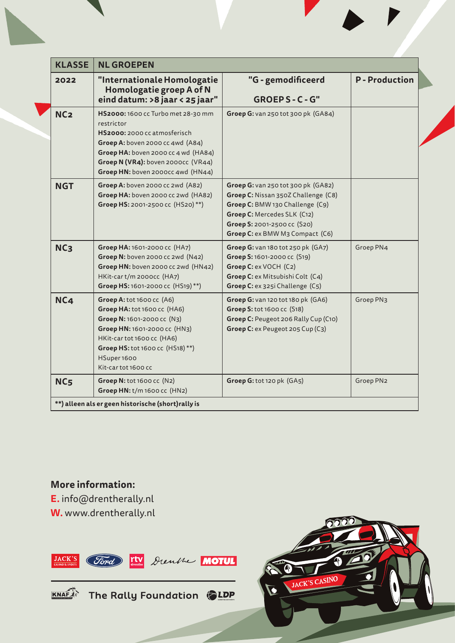| <b>KLASSE</b>   | <b>NL GROEPEN</b>                                                                                                                                                                                                                      |                                                                                                                                                                                                               |                       |  |  |
|-----------------|----------------------------------------------------------------------------------------------------------------------------------------------------------------------------------------------------------------------------------------|---------------------------------------------------------------------------------------------------------------------------------------------------------------------------------------------------------------|-----------------------|--|--|
| 2022            | "Internationale Homologatie<br>Homologatie groep A of N<br>eind datum: > 8 jaar < 25 jaar"                                                                                                                                             | "G - gemodificeerd<br>GROEPS-C-G"                                                                                                                                                                             | <b>P</b> - Production |  |  |
| NC <sub>2</sub> | HS2000: 1600 cc Turbo met 28-30 mm<br>restrictor<br>HS2000: 2000 cc atmosferisch<br>Groep A: boven 2000 cc 4wd (A84)<br>Groep HA: boven 2000 cc 4 wd (HA84)<br>Groep N (VR4): boven 2000cc (VR44)<br>Groep HN: boven 2000cc 4wd (HN44) | Groep G: van 250 tot 300 pk (GA84)                                                                                                                                                                            |                       |  |  |
| <b>NGT</b>      | Groep A: boven 2000 cc 2wd (A82)<br>Groep HA: boven 2000 cc 2wd (HA82)<br>Groep HS: 2001-2500 cc (HS20)**)                                                                                                                             | Groep G: van 250 tot 300 pk (GA82)<br>Groep C: Nissan 350Z Challenge (C8)<br>Groep C: BMW 130 Challenge (C9)<br>Groep C: Mercedes SLK (C12)<br>Groep S: 2001-2500 cc (S20)<br>Groep C: ex BMW M3 Compact (C6) |                       |  |  |
| NC <sub>3</sub> | Groep HA: 1601-2000 cc (HA7)<br>Groep N: boven 2000 cc 2wd (N42)<br>Groep HN: boven 2000 cc 2wd (HN42)<br>HKit-cart/m 2000cc (HA7)<br>Groep HS: 1601-2000 cc (HS19)**)                                                                 | Groep G: van 180 tot 250 pk (GA7)<br>Groep S: 1601-2000 cc (S19)<br>Groep C: ex VOCH (C2)<br>Groep C: ex Mitsubishi Colt (C4)<br>Groep C: ex 325i Challenge (C5)                                              | Groep PN4             |  |  |
| <b>NC4</b>      | Groep A: tot 1600 cc (A6)<br>Groep HA: tot 1600 cc (HA6)<br>Groep N: 1601-2000 cc (N3)<br>Groep HN: 1601-2000 cc (HN3)<br>HKit-car tot 1600 cc (HA6)<br>Groep HS: tot 1600 cc (HS18)**)<br>HSuper 1600<br>Kit-car tot 1600 cc          | Groep G: van 120 tot 180 pk (GA6)<br>Groep S: tot 1600 cc (S18)<br>Groep C: Peugeot 206 Rally Cup (C10)<br>Groep C: ex Peugeot 205 Cup (C3)                                                                   | Groep PN3             |  |  |
| NC <sub>5</sub> | Groep N: tot 1600 cc (N2)<br>Groep HN: t/m 1600 cc (HN2)                                                                                                                                                                               | Groep G: tot 120 pk (GA5)                                                                                                                                                                                     | Groep PN2             |  |  |
|                 | **) alleen als er geen historische (short)rally is                                                                                                                                                                                     |                                                                                                                                                                                                               |                       |  |  |

**More information: E.** info@drentherally.nl **W.** www.drentherally.nl





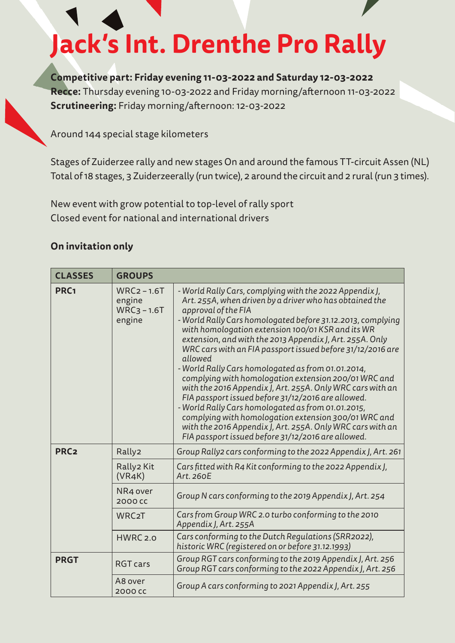# **Jack's Int. Drenthe Pro Rally**

**Competitive part: Friday evening 11-03-2022 and Saturday 12-03-2022 Recce:** Thursday evening 10-03-2022 and Friday morning/afternoon 11-03-2022 **Scrutineering:** Friday morning/afternoon: 12-03-2022

Around 144 special stage kilometers

Stages of Zuiderzee rally and new stages On and around the famous TT-circuit Assen (NL) Total of 18 stages, 3 Zuiderzeerally (run twice), 2 around the circuit and 2 rural (run 3 times).

New event with grow potential to top-level of rally sport Closed event for national and international drivers

#### **On invitation only**

| <b>CLASSES</b>   | <b>GROUPS</b>                                       |                                                                                                                                                                                                                                                                                                                                                                                                                                                                                                                                                                                                                                                                                                                                                                                                                                                                        |
|------------------|-----------------------------------------------------|------------------------------------------------------------------------------------------------------------------------------------------------------------------------------------------------------------------------------------------------------------------------------------------------------------------------------------------------------------------------------------------------------------------------------------------------------------------------------------------------------------------------------------------------------------------------------------------------------------------------------------------------------------------------------------------------------------------------------------------------------------------------------------------------------------------------------------------------------------------------|
| PRC <sub>1</sub> | $WRC2 - 1.6T$<br>engine<br>$WRC_3 - 1.6T$<br>engine | - World Rally Cars, complying with the 2022 Appendix J,<br>Art. 255A, when driven by a driver who has obtained the<br>approval of the FIA<br>- World Rally Cars homologated before 31.12.2013, complying<br>with homologation extension 100/01 KSR and its WR<br>extension, and with the 2013 Appendix J, Art. 255A. Only<br>WRC cars with an FIA passport issued before 31/12/2016 are<br>allowed<br>- World Rally Cars homologated as from 01.01.2014,<br>complying with homologation extension 200/01 WRC and<br>with the 2016 Appendix J, Art. 255A. Only WRC cars with an<br>FIA passport issued before 31/12/2016 are allowed.<br>- World Rally Cars homologated as from 01.01.2015,<br>complying with homologation extension 300/01 WRC and<br>with the 2016 Appendix J, Art. 255A. Only WRC cars with an<br>FIA passport issued before 31/12/2016 are allowed. |
| PRC <sub>2</sub> | Rally2                                              | Group Rally2 cars conforming to the 2022 Appendix J, Art. 261                                                                                                                                                                                                                                                                                                                                                                                                                                                                                                                                                                                                                                                                                                                                                                                                          |
|                  | Rally2 Kit<br>(VRAK)                                | Cars fitted with R4 Kit conforming to the 2022 Appendix J,<br>Art. 260E                                                                                                                                                                                                                                                                                                                                                                                                                                                                                                                                                                                                                                                                                                                                                                                                |
|                  | NR4 over<br>2000 CC                                 | Group N cars conforming to the 2019 Appendix J, Art. 254                                                                                                                                                                                                                                                                                                                                                                                                                                                                                                                                                                                                                                                                                                                                                                                                               |
|                  | WRC <sub>2</sub> T                                  | Cars from Group WRC 2.0 turbo conforming to the 2010<br>Appendix J, Art. 255A                                                                                                                                                                                                                                                                                                                                                                                                                                                                                                                                                                                                                                                                                                                                                                                          |
|                  | HWRC 2.0                                            | Cars conforming to the Dutch Regulations (SRR2022),<br>historic WRC (registered on or before 31.12.1993)                                                                                                                                                                                                                                                                                                                                                                                                                                                                                                                                                                                                                                                                                                                                                               |
| <b>PRGT</b>      | <b>RGT cars</b>                                     | Group RGT cars conforming to the 2019 Appendix J, Art. 256<br>Group RGT cars conforming to the 2022 Appendix J, Art. 256                                                                                                                                                                                                                                                                                                                                                                                                                                                                                                                                                                                                                                                                                                                                               |
|                  | A8 over<br>2000 cc                                  | Group A cars conforming to 2021 Appendix J, Art. 255                                                                                                                                                                                                                                                                                                                                                                                                                                                                                                                                                                                                                                                                                                                                                                                                                   |